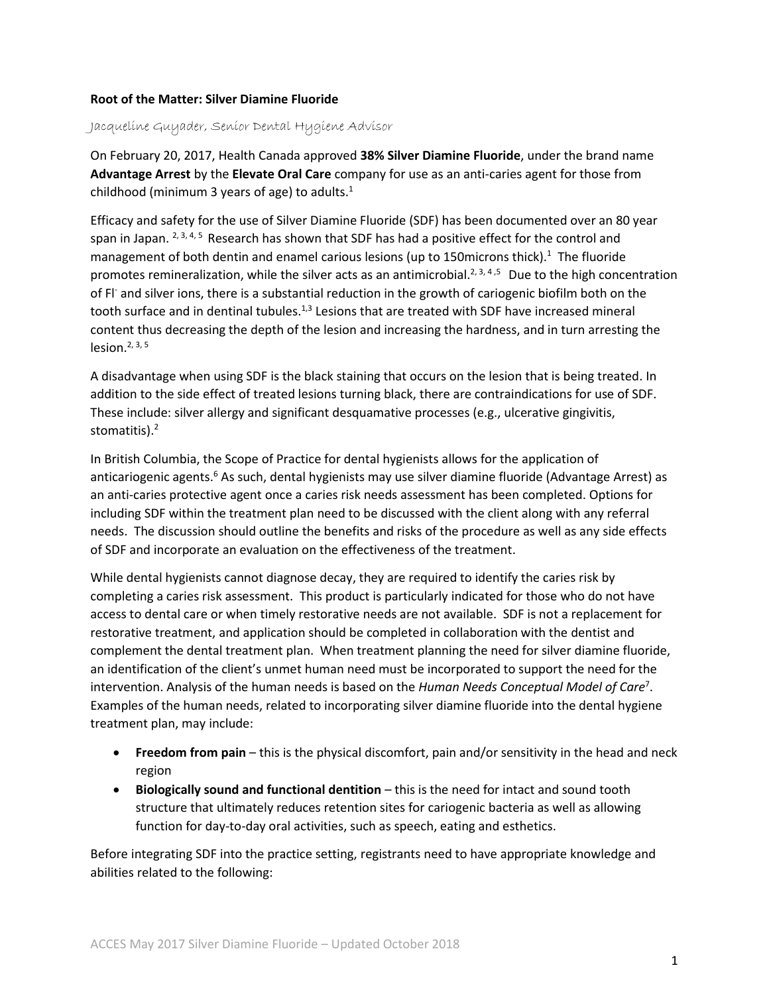## **Root of the Matter: Silver Diamine Fluoride**

Jacqueline Guyader, Senior Dental Hygiene Advisor

On February 20, 2017, Health Canada approved **38% Silver Diamine Fluoride**, under the brand name **Advantage Arrest** by the **Elevate Oral Care** company for use as an anti-caries agent for those from childhood (minimum 3 years of age) to adults.<sup>1</sup>

Efficacy and safety for the use of Silver Diamine Fluoride (SDF) has been documented over an 80 year span in Japan. <sup>2, 3, 4, 5</sup> Research has shown that SDF has had a positive effect for the control and management of both dentin and enamel carious lesions (up to 150microns thick).<sup>1</sup> The fluoride promotes remineralization, while the silver acts as an antimicrobial.<sup>2, 3, 4,5</sup> Due to the high concentration of Fl- and silver ions, there is a substantial reduction in the growth of cariogenic biofilm both on the tooth surface and in dentinal tubules.<sup>1,3</sup> Lesions that are treated with SDF have increased mineral content thus decreasing the depth of the lesion and increasing the hardness, and in turn arresting the lesion. $2, 3, 5$ 

A disadvantage when using SDF is the black staining that occurs on the lesion that is being treated. In addition to the side effect of treated lesions turning black, there are contraindications for use of SDF. These include: silver allergy and significant desquamative processes (e.g., ulcerative gingivitis, stomatitis). 2

In British Columbia, the Scope of Practice for dental hygienists allows for the application of anticariogenic agents.<sup>6</sup> As such, dental hygienists may use silver diamine fluoride (Advantage Arrest) as an anti-caries protective agent once a caries risk needs assessment has been completed. Options for including SDF within the treatment plan need to be discussed with the client along with any referral needs. The discussion should outline the benefits and risks of the procedure as well as any side effects of SDF and incorporate an evaluation on the effectiveness of the treatment.

While dental hygienists cannot diagnose decay, they are required to identify the caries risk by completing a caries risk assessment. This product is particularly indicated for those who do not have access to dental care or when timely restorative needs are not available. SDF is not a replacement for restorative treatment, and application should be completed in collaboration with the dentist and complement the dental treatment plan. When treatment planning the need for silver diamine fluoride, an identification of the client's unmet human need must be incorporated to support the need for the intervention. Analysis of the human needs is based on the *Human Needs Conceptual Model of Care*<sup>7</sup> . Examples of the human needs, related to incorporating silver diamine fluoride into the dental hygiene treatment plan, may include:

- **Freedom from pain** this is the physical discomfort, pain and/or sensitivity in the head and neck region
- **Biologically sound and functional dentition** this is the need for intact and sound tooth structure that ultimately reduces retention sites for cariogenic bacteria as well as allowing function for day-to-day oral activities, such as speech, eating and esthetics.

Before integrating SDF into the practice setting, registrants need to have appropriate knowledge and abilities related to the following: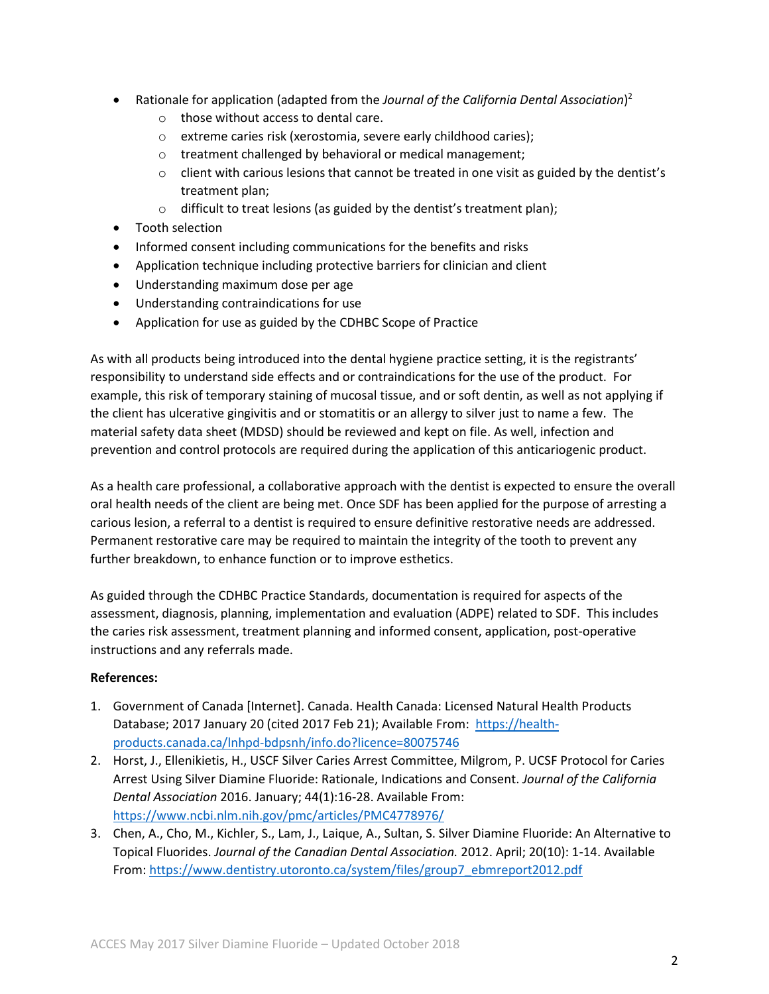- Rationale for application (adapted from the *Journal of the California Dental Association*) 2
	- o those without access to dental care.
	- o extreme caries risk (xerostomia, severe early childhood caries);
	- o treatment challenged by behavioral or medical management;
	- $\circ$  client with carious lesions that cannot be treated in one visit as guided by the dentist's treatment plan;
	- $\circ$  difficult to treat lesions (as guided by the dentist's treatment plan);
- Tooth selection
- Informed consent including communications for the benefits and risks
- Application technique including protective barriers for clinician and client
- Understanding maximum dose per age
- Understanding contraindications for use
- Application for use as guided by the CDHBC Scope of Practice

As with all products being introduced into the dental hygiene practice setting, it is the registrants' responsibility to understand side effects and or contraindications for the use of the product. For example, this risk of temporary staining of mucosal tissue, and or soft dentin, as well as not applying if the client has ulcerative gingivitis and or stomatitis or an allergy to silver just to name a few. The material safety data sheet (MDSD) should be reviewed and kept on file. As well, infection and prevention and control protocols are required during the application of this anticariogenic product.

As a health care professional, a collaborative approach with the dentist is expected to ensure the overall oral health needs of the client are being met. Once SDF has been applied for the purpose of arresting a carious lesion, a referral to a dentist is required to ensure definitive restorative needs are addressed. Permanent restorative care may be required to maintain the integrity of the tooth to prevent any further breakdown, to enhance function or to improve esthetics.

As guided through the CDHBC Practice Standards, documentation is required for aspects of the assessment, diagnosis, planning, implementation and evaluation (ADPE) related to SDF. This includes the caries risk assessment, treatment planning and informed consent, application, post-operative instructions and any referrals made.

## **References:**

- 1. Government of Canada [Internet]. Canada. Health Canada: Licensed Natural Health Products Database; 2017 January 20 (cited 2017 Feb 21); Available From: [https://health](https://health-products.canada.ca/lnhpd-bdpsnh/info.do?licence=80075746)[products.canada.ca/lnhpd-bdpsnh/info.do?licence=80075746](https://health-products.canada.ca/lnhpd-bdpsnh/info.do?licence=80075746)
- 2. Horst, J., Ellenikietis, H., USCF Silver Caries Arrest Committee, Milgrom, P. UCSF Protocol for Caries Arrest Using Silver Diamine Fluoride: Rationale, Indications and Consent. *Journal of the California Dental Association* 2016. January; 44(1):16-28. Available From: <https://www.ncbi.nlm.nih.gov/pmc/articles/PMC4778976/>
- 3. Chen, A., Cho, M., Kichler, S., Lam, J., Laique, A., Sultan, S. Silver Diamine Fluoride: An Alternative to Topical Fluorides. *Journal of the Canadian Dental Association.* 2012. April; 20(10): 1-14. Available From: [https://www.dentistry.utoronto.ca/system/files/group7\\_ebmreport2012.pdf](https://www.dentistry.utoronto.ca/system/files/group7_ebmreport2012.pdf)